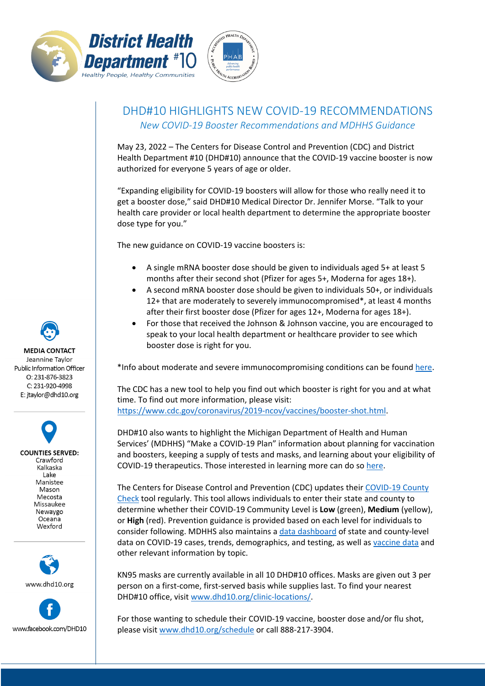



## DHD#10 HIGHLIGHTS NEW COVID-19 RECOMMENDATIONS *New COVID-19 Booster Recommendations and MDHHS Guidance*

May 23, 2022 – The Centers for Disease Control and Prevention (CDC) and District Health Department #10 (DHD#10) announce that the COVID-19 vaccine booster is now authorized for everyone 5 years of age or older.

"Expanding eligibility for COVID-19 boosters will allow for those who really need it to get a booster dose," said DHD#10 Medical Director Dr. Jennifer Morse. "Talk to your health care provider or local health department to determine the appropriate booster dose type for you."

The new guidance on COVID-19 vaccine boosters is:

- A single mRNA booster dose should be given to individuals aged 5+ at least 5 months after their second shot (Pfizer for ages 5+, Moderna for ages 18+).
- A second mRNA booster dose should be given to individuals 50+, or individuals 12+ that are moderately to severely immunocompromised\*, at least 4 months after their first booster dose (Pfizer for ages 12+, Moderna for ages 18+).
- For those that received the Johnson & Johnson vaccine, you are encouraged to speak to your local health department or healthcare provider to see which booster dose is right for you.

\*Info about moderate and severe immunocompromising conditions can be found here.

The CDC has a new tool to help you find out which booster is right for you and at what time. To find out more information, please visit: https://www.cdc.gov/coronavirus/2019-ncov/vaccines/booster-shot.html.

DHD#10 also wants to highlight the Michigan Department of Health and Human Services' (MDHHS) "Make a COVID-19 Plan" information about planning for vaccination and boosters, keeping a supply of tests and masks, and learning about your eligibility of COVID-19 therapeutics. Those interested in learning more can do so here.

The Centers for Disease Control and Prevention (CDC) updates their COVID-19 County Check tool regularly. This tool allows individuals to enter their state and county to determine whether their COVID-19 Community Level is **Low** (green), **Medium** (yellow), or **High** (red). Prevention guidance is provided based on each level for individuals to consider following. MDHHS also maintains a data dashboard of state and county-level data on COVID-19 cases, trends, demographics, and testing, as well as vaccine data and other relevant information by topic.

KN95 masks are currently available in all 10 DHD#10 offices. Masks are given out 3 per person on a first-come, first-served basis while supplies last. To find your nearest DHD#10 office, visit www.dhd10.org/clinic-locations/.

For those wanting to schedule their COVID-19 vaccine, booster dose and/or flu shot, please visit www.dhd10.org/schedule or call 888-217-3904.

**MEDIA CONTACT** Jeannine Taylor Public Information Officer  $O: 231 - 876 - 3823$ C: 231-920-4998 E: jtaylor@dhd10.org

**COUNTIES SERVED:** Crawford Kalkaska Lake Manistee Mason Mecosta Missaukee Newaygo Oceana Wexford